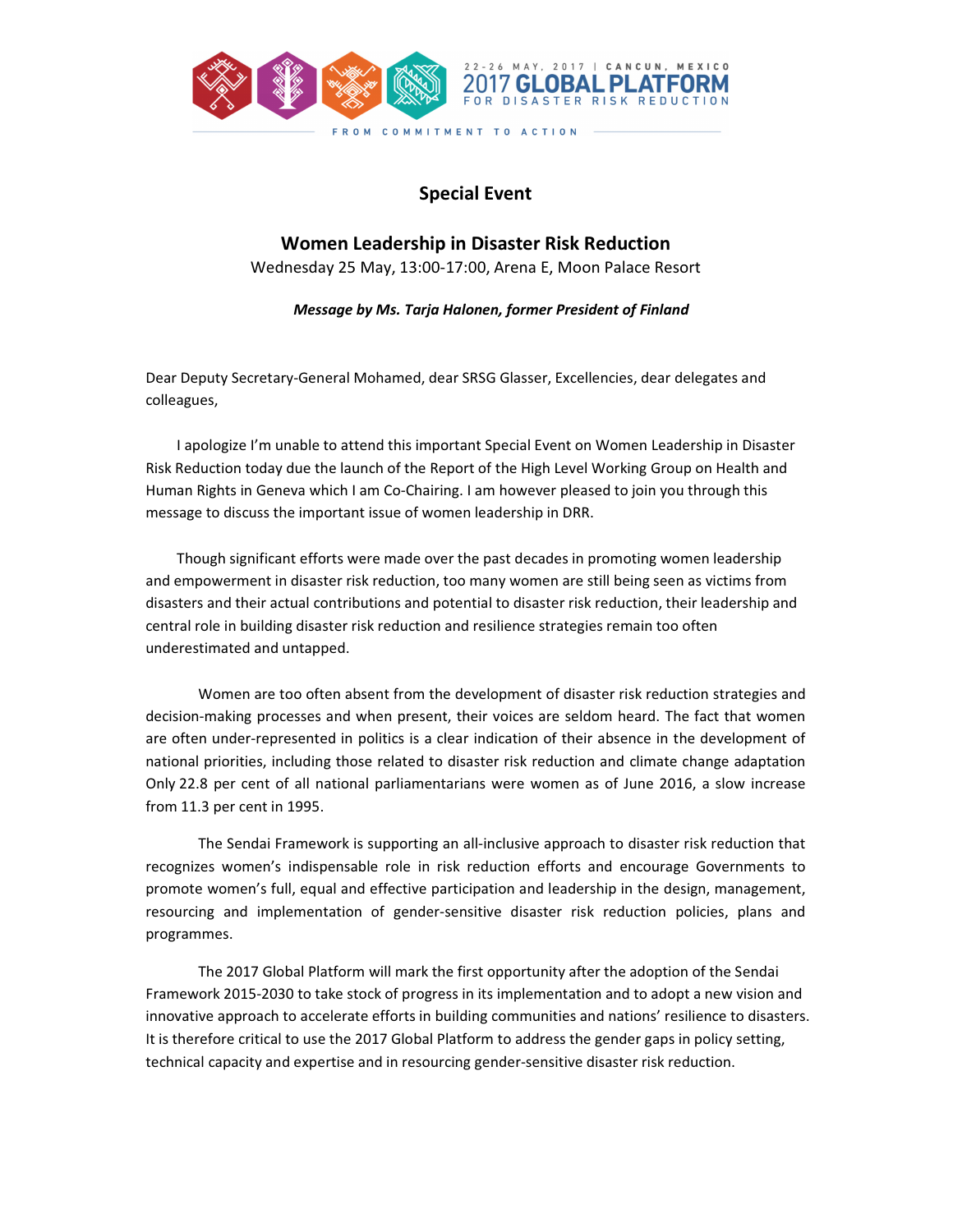

## Special Event

Women Leadership in Disaster Risk Reduction Wednesday 25 May, 13:00-17:00, Arena E, Moon Palace Resort

Message by Ms. Tarja Halonen, former President of Finland

Dear Deputy Secretary-General Mohamed, dear SRSG Glasser, Excellencies, dear delegates and colleagues,

 I apologize I'm unable to attend this important Special Event on Women Leadership in Disaster Risk Reduction today due the launch of the Report of the High Level Working Group on Health and Human Rights in Geneva which I am Co-Chairing. I am however pleased to join you through this message to discuss the important issue of women leadership in DRR.

 Though significant efforts were made over the past decades in promoting women leadership and empowerment in disaster risk reduction, too many women are still being seen as victims from disasters and their actual contributions and potential to disaster risk reduction, their leadership and central role in building disaster risk reduction and resilience strategies remain too often underestimated and untapped.

 Women are too often absent from the development of disaster risk reduction strategies and decision-making processes and when present, their voices are seldom heard. The fact that women are often under-represented in politics is a clear indication of their absence in the development of national priorities, including those related to disaster risk reduction and climate change adaptation Only 22.8 per cent of all national parliamentarians were women as of June 2016, a slow increase from 11.3 per cent in 1995.

 The Sendai Framework is supporting an all-inclusive approach to disaster risk reduction that recognizes women's indispensable role in risk reduction efforts and encourage Governments to promote women's full, equal and effective participation and leadership in the design, management, resourcing and implementation of gender-sensitive disaster risk reduction policies, plans and programmes.

 The 2017 Global Platform will mark the first opportunity after the adoption of the Sendai Framework 2015-2030 to take stock of progress in its implementation and to adopt a new vision and innovative approach to accelerate efforts in building communities and nations' resilience to disasters. It is therefore critical to use the 2017 Global Platform to address the gender gaps in policy setting, technical capacity and expertise and in resourcing gender-sensitive disaster risk reduction.